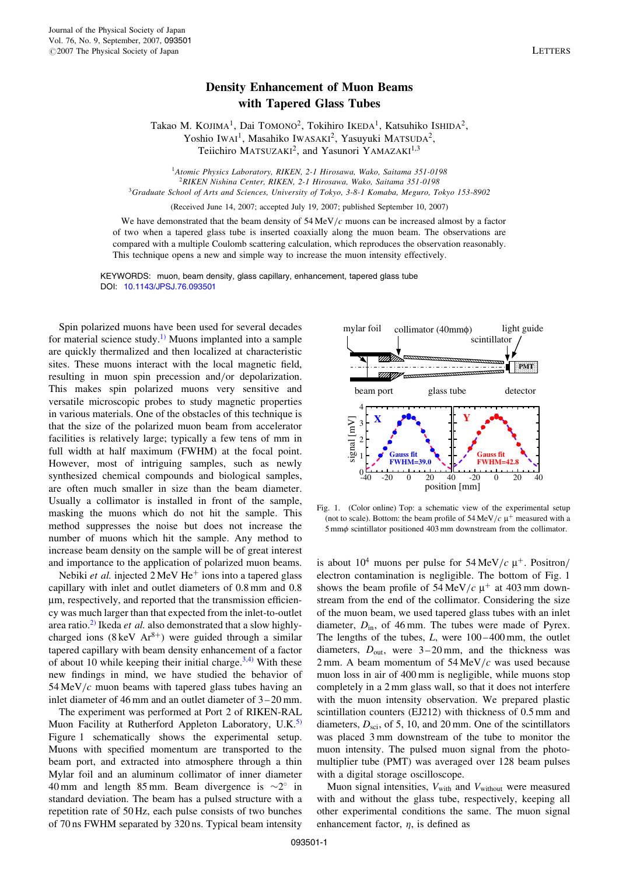## Density Enhancement of Muon Beams with Tapered Glass Tubes

Takao M. KOJIMA<sup>1</sup>, Dai TOMONO<sup>2</sup>, Tokihiro IKEDA<sup>1</sup>, Katsuhiko ISHIDA<sup>2</sup>, Yoshio IWAI<sup>1</sup>, Masahiko IWASAKI<sup>2</sup>, Yasuyuki MATSUDA<sup>2</sup>, Teiichiro MATSUZAKI<sup>2</sup>, and Yasunori YAMAZAKI<sup>1,3</sup>

<sup>1</sup> Atomic Physics Laboratory, RIKEN, 2-1 Hirosawa, Wako, Saitama 351-0198 <sup>2</sup>RIKEN Nishina Center, RIKEN, 2-1 Hirosawa, Wako, Saitama 351-0198 <sup>3</sup>Graduate School of Arts and Sciences, University of Tokyo, 3-8-1 Komaba, Meguro, Tokyo 153-8902

(Received June 14, 2007; accepted July 19, 2007; published September 10, 2007)

We have demonstrated that the beam density of  $54 \text{ MeV}/c$  muons can be increased almost by a factor of two when a tapered glass tube is inserted coaxially along the muon beam. The observations are compared with a multiple Coulomb scattering calculation, which reproduces the observation reasonably. This technique opens a new and simple way to increase the muon intensity effectively.

KEYWORDS: muon, beam density, glass capillary, enhancement, tapered glass tube [DOI:](http://dx.doi.org/10.1143/JPSJ.76.093501) [10.1143/JPSJ.76.093501](http://dx.doi.org/10.1143/JPSJ.76.093501)

Spin polarized muons have been used for several decades for material science study.<sup>[1\)](#page-2-0)</sup> Muons implanted into a sample are quickly thermalized and then localized at characteristic sites. These muons interact with the local magnetic field, resulting in muon spin precession and/or depolarization. This makes spin polarized muons very sensitive and versatile microscopic probes to study magnetic properties in various materials. One of the obstacles of this technique is that the size of the polarized muon beam from accelerator facilities is relatively large; typically a few tens of mm in full width at half maximum (FWHM) at the focal point. However, most of intriguing samples, such as newly synthesized chemical compounds and biological samples, are often much smaller in size than the beam diameter. Usually a collimator is installed in front of the sample, masking the muons which do not hit the sample. This method suppresses the noise but does not increase the number of muons which hit the sample. Any method to increase beam density on the sample will be of great interest and importance to the application of polarized muon beams.

Nebiki *et al.* injected  $2 \text{ MeV He}^+$  ions into a tapered glass capillary with inlet and outlet diameters of 0.8 mm and 0.8 mm, respectively, and reported that the transmission efficiency was much larger than that expected from the inlet-to-outlet area ratio. $^{2)}$  $^{2)}$  $^{2)}$  Ikeda *et al.* also demonstrated that a slow highlycharged ions (8 keV  $Ar^{8+}$ ) were guided through a similar tapered capillary with beam density enhancement of a factor of about 10 while keeping their initial charge.<sup>[3,4\)](#page-2-0)</sup> With these new findings in mind, we have studied the behavior of  $54 \,\mathrm{MeV}/c$  muon beams with tapered glass tubes having an inlet diameter of 46 mm and an outlet diameter of 3 – 20 mm.

The experiment was performed at Port 2 of RIKEN-RAL Muon Facility at Rutherford Appleton Laboratory, U.K. $^{5}$ Figure 1 schematically shows the experimental setup. Muons with specified momentum are transported to the beam port, and extracted into atmosphere through a thin Mylar foil and an aluminum collimator of inner diameter 40 mm and length 85 mm. Beam divergence is  $\sim$ 2° in standard deviation. The beam has a pulsed structure with a repetition rate of 50 Hz, each pulse consists of two bunches of 70 ns FWHM separated by 320 ns. Typical beam intensity



Fig. 1. (Color online) Top: a schematic view of the experimental setup (not to scale). Bottom: the beam profile of  $54 \,\mathrm{MeV}/c$   $\mu^+$  measured with a  $5 \text{ mm}\phi$  scintillator positioned 403 mm downstream from the collimator.

is about 10<sup>4</sup> muons per pulse for 54 MeV/c  $\mu^{+}$ . Positron/ electron contamination is negligible. The bottom of Fig. 1 shows the beam profile of  $54 \text{ MeV}/c \mu^+$  at 403 mm downstream from the end of the collimator. Considering the size of the muon beam, we used tapered glass tubes with an inlet diameter,  $D_{\text{in}}$ , of 46 mm. The tubes were made of Pyrex. The lengths of the tubes,  $L$ , were  $100-400$  mm, the outlet diameters,  $D_{\text{out}}$ , were 3-20 mm, and the thickness was  $2 \text{ mm}$ . A beam momentum of  $54 \text{ MeV}/c$  was used because muon loss in air of 400 mm is negligible, while muons stop completely in a 2 mm glass wall, so that it does not interfere with the muon intensity observation. We prepared plastic scintillation counters (EJ212) with thickness of 0.5 mm and diameters,  $D_{\text{sci}}$ , of 5, 10, and 20 mm. One of the scintillators was placed 3 mm downstream of the tube to monitor the muon intensity. The pulsed muon signal from the photomultiplier tube (PMT) was averaged over 128 beam pulses with a digital storage oscilloscope.

Muon signal intensities,  $V_{\text{with}}$  and  $V_{\text{without}}$  were measured with and without the glass tube, respectively, keeping all other experimental conditions the same. The muon signal enhancement factor,  $\eta$ , is defined as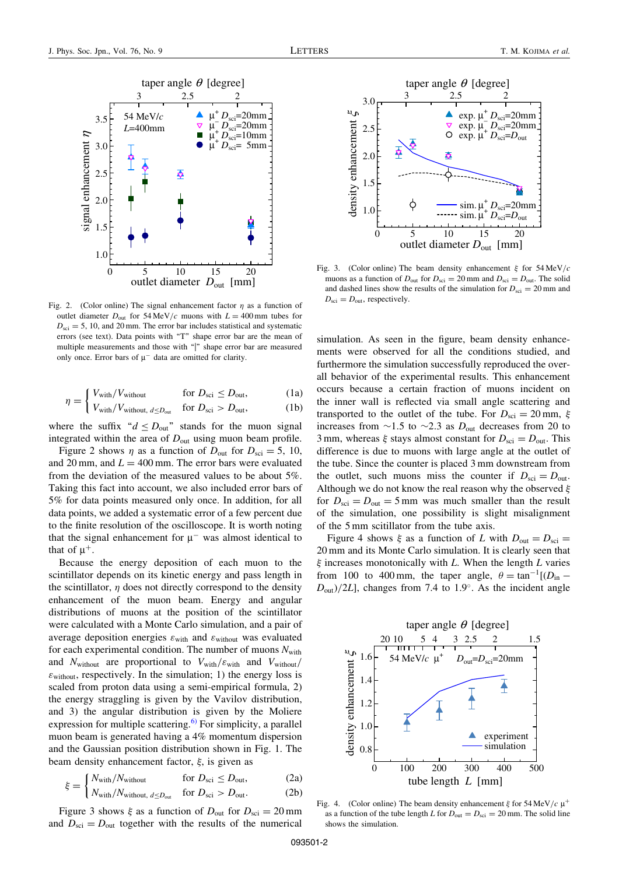

Fig. 2. (Color online) The signal enhancement factor  $\eta$  as a function of outlet diameter  $D_{\text{out}}$  for 54 MeV/c muons with  $L = 400$  mm tubes for  $D_{\text{sci}} = 5, 10, \text{ and } 20 \text{ mm}$ . The error bar includes statistical and systematic errors (see text). Data points with "T" shape error bar are the mean of multiple measurements and those with "|" shape error bar are measured only once. Error bars of  $\mu^-$  data are omitted for clarity.

$$
\eta = \begin{cases} V_{\text{with}} / V_{\text{without}} & \text{for } D_{\text{sci}} \le D_{\text{out}}, \\ V_{\text{with}} / V_{\text{without, } d \le D_{\text{out}}} & \text{for } D_{\text{sci}} > D_{\text{out}}, \end{cases}
$$
(1a)

$$
V_{\text{with}}/V_{\text{without, }d \leq D_{\text{out}}} \quad \text{for } D_{\text{sci}} > D_{\text{out}}, \tag{1b}
$$

where the suffix " $d \le D_{\text{out}}$ " stands for the muon signal integrated within the area of  $D_{\text{out}}$  using muon beam profile.

Figure 2 shows  $\eta$  as a function of  $D_{\text{out}}$  for  $D_{\text{sci}} = 5$ , 10, and 20 mm, and  $L = 400$  mm. The error bars were evaluated from the deviation of the measured values to be about 5%. Taking this fact into account, we also included error bars of 5% for data points measured only once. In addition, for all data points, we added a systematic error of a few percent due to the finite resolution of the oscilloscope. It is worth noting that the signal enhancement for  $\mu^-$  was almost identical to that of  $\mu^+$ .

Because the energy deposition of each muon to the scintillator depends on its kinetic energy and pass length in the scintillator,  $\eta$  does not directly correspond to the density enhancement of the muon beam. Energy and angular distributions of muons at the position of the scintillator were calculated with a Monte Carlo simulation, and a pair of average deposition energies  $\varepsilon_{\text{with}}$  and  $\varepsilon_{\text{without}}$  was evaluated for each experimental condition. The number of muons  $N_{\text{with}}$ and  $N_{\text{without}}$  are proportional to  $V_{\text{with}}/\varepsilon_{\text{with}}$  and  $V_{\text{without}}/$  $\varepsilon$ <sub>without</sub>, respectively. In the simulation; 1) the energy loss is scaled from proton data using a semi-empirical formula, 2) the energy straggling is given by the Vavilov distribution, and 3) the angular distribution is given by the Moliere expression for multiple scattering.<sup>[6\)](#page-2-0)</sup> For simplicity, a parallel muon beam is generated having a 4% momentum dispersion and the Gaussian position distribution shown in Fig. 1. The beam density enhancement factor,  $\xi$ , is given as

$$
\xi = \begin{cases} N_{\text{with}} / N_{\text{without}} & \text{for } D_{\text{sci}} \le D_{\text{out}}, \\ N_{\text{out}} / N_{\text{out}} & \text{for } D_{\text{out}} \end{cases}
$$
 (2a)

$$
\vec{\tau} = \begin{cases} N_{\text{with}}/N_{\text{without}} & \text{for } D_{\text{sci}} \le D_{\text{out}}, \\ N_{\text{with}}/N_{\text{without, } d \le D_{\text{out}}} & \text{for } D_{\text{sci}} > D_{\text{out}}. \end{cases}
$$
 (2a)

Figure 3 shows  $\xi$  as a function of  $D_{\text{out}}$  for  $D_{\text{sci}} = 20 \text{ mm}$ and  $D_{\text{sci}} = D_{\text{out}}$  together with the results of the numerical



Fig. 3. (Color online) The beam density enhancement  $\xi$  for  $54 \text{ MeV}/c$ muons as a function of  $D_{\text{out}}$  for  $D_{\text{sci}} = 20$  mm and  $D_{\text{sci}} = D_{\text{out}}$ . The solid and dashed lines show the results of the simulation for  $D_{\text{sci}} = 20 \text{ mm}$  and  $D_{\text{sci}} = D_{\text{out}}$ , respectively.

simulation. As seen in the figure, beam density enhancements were observed for all the conditions studied, and furthermore the simulation successfully reproduced the overall behavior of the experimental results. This enhancement occurs because a certain fraction of muons incident on the inner wall is reflected via small angle scattering and transported to the outlet of the tube. For  $D_{\text{sci}} = 20 \text{ mm}$ ,  $\xi$ increases from  $\sim$ 1.5 to  $\sim$ 2.3 as  $D_{\text{out}}$  decreases from 20 to 3 mm, whereas  $\xi$  stays almost constant for  $D_{\rm sci} = D_{\rm out}$ . This difference is due to muons with large angle at the outlet of the tube. Since the counter is placed 3 mm downstream from the outlet, such muons miss the counter if  $D_{\text{sci}} = D_{\text{out}}$ . Although we do not know the real reason why the observed  $\xi$ for  $D_{\text{sci}} = D_{\text{out}} = 5 \text{ mm}$  was much smaller than the result of the simulation, one possibility is slight misalignment of the 5 mm scitillator from the tube axis.

Figure 4 shows  $\xi$  as a function of L with  $D_{\text{out}} = D_{\text{sci}} =$ 20 mm and its Monte Carlo simulation. It is clearly seen that  $\xi$  increases monotonically with L. When the length L varies from 100 to 400 mm, the taper angle,  $\theta = \tan^{-1}[(D_{in} D<sub>out</sub>)/2L$ , changes from 7.4 to 1.9°. As the incident angle



Fig. 4. (Color online) The beam density enhancement  $\xi$  for 54 MeV/c  $\mu^+$ as a function of the tube length L for  $D_{\text{out}} = D_{\text{sci}} = 20$  mm. The solid line shows the simulation.